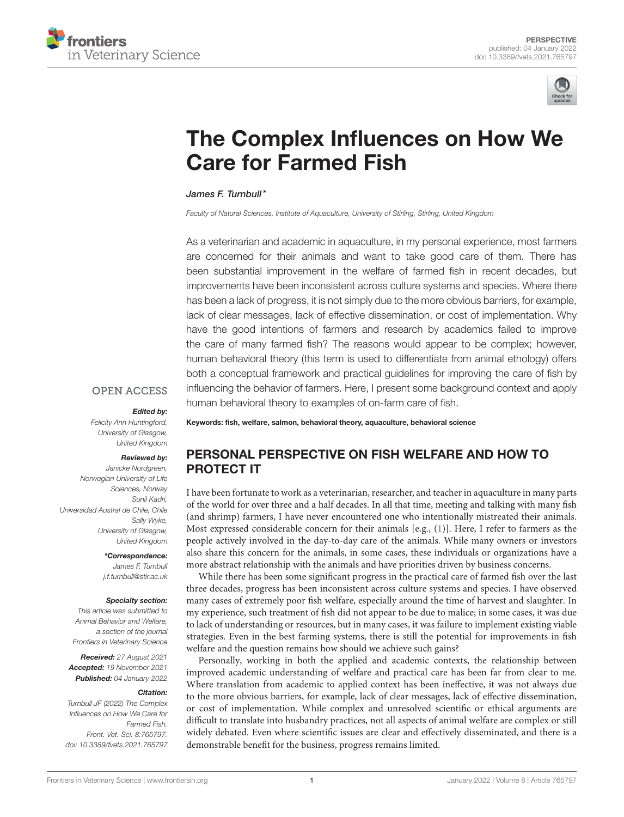



# [The Complex Influences on How We](https://www.frontiersin.org/articles/10.3389/fvets.2021.765797/full) Care for Farmed Fish

James F. Turnbull\*

*Faculty of Natural Sciences, Institute of Aquaculture, University of Stirling, Stirling, United Kingdom*

As a veterinarian and academic in aquaculture, in my personal experience, most farmers are concerned for their animals and want to take good care of them. There has been substantial improvement in the welfare of farmed fish in recent decades, but improvements have been inconsistent across culture systems and species. Where there has been a lack of progress, it is not simply due to the more obvious barriers, for example, lack of clear messages, lack of effective dissemination, or cost of implementation. Why have the good intentions of farmers and research by academics failed to improve the care of many farmed fish? The reasons would appear to be complex; however, human behavioral theory (this term is used to differentiate from animal ethology) offers both a conceptual framework and practical guidelines for improving the care of fish by influencing the behavior of farmers. Here, I present some background context and apply human behavioral theory to examples of on-farm care of fish.

#### **OPEN ACCESS**

#### Edited by:

*Felicity Ann Huntingford, University of Glasgow, United Kingdom*

#### Reviewed by:

*Janicke Nordgreen, Norwegian University of Life Sciences, Norway Sunil Kadri, Universidad Austral de Chile, Chile Sally Wyke, University of Glasgow, United Kingdom*

#### \*Correspondence:

*James F. Turnbull [j.f.turnbull@stir.ac.uk](mailto:j.f.turnbull@stir.ac.uk)*

#### Specialty section:

*This article was submitted to Animal Behavior and Welfare, a section of the journal Frontiers in Veterinary Science*

Received: *27 August 2021* Accepted: *19 November 2021* Published: *04 January 2022*

#### Citation:

*Turnbull JF (2022) The Complex Influences on How We Care for Farmed Fish. Front. Vet. Sci. 8:765797. doi: [10.3389/fvets.2021.765797](https://doi.org/10.3389/fvets.2021.765797)*

Keywords: fish, welfare, salmon, behavioral theory, aquaculture, behavioral science

# PERSONAL PERSPECTIVE ON FISH WELFARE AND HOW TO PROTECT IT

I have been fortunate to work as a veterinarian, researcher, and teacher in aquaculture in many parts of the world for over three and a half decades. In all that time, meeting and talking with many fish (and shrimp) farmers, I have never encountered one who intentionally mistreated their animals. Most expressed considerable concern for their animals [e.g., [\(1\)](#page-3-0)]. Here, I refer to farmers as the people actively involved in the day-to-day care of the animals. While many owners or investors also share this concern for the animals, in some cases, these individuals or organizations have a more abstract relationship with the animals and have priorities driven by business concerns.

While there has been some significant progress in the practical care of farmed fish over the last three decades, progress has been inconsistent across culture systems and species. I have observed many cases of extremely poor fish welfare, especially around the time of harvest and slaughter. In my experience, such treatment of fish did not appear to be due to malice; in some cases, it was due to lack of understanding or resources, but in many cases, it was failure to implement existing viable strategies. Even in the best farming systems, there is still the potential for improvements in fish welfare and the question remains how should we achieve such gains?

Personally, working in both the applied and academic contexts, the relationship between improved academic understanding of welfare and practical care has been far from clear to me. Where translation from academic to applied context has been ineffective, it was not always due to the more obvious barriers, for example, lack of clear messages, lack of effective dissemination, or cost of implementation. While complex and unresolved scientific or ethical arguments are difficult to translate into husbandry practices, not all aspects of animal welfare are complex or still widely debated. Even where scientific issues are clear and effectively disseminated, and there is a demonstrable benefit for the business, progress remains limited.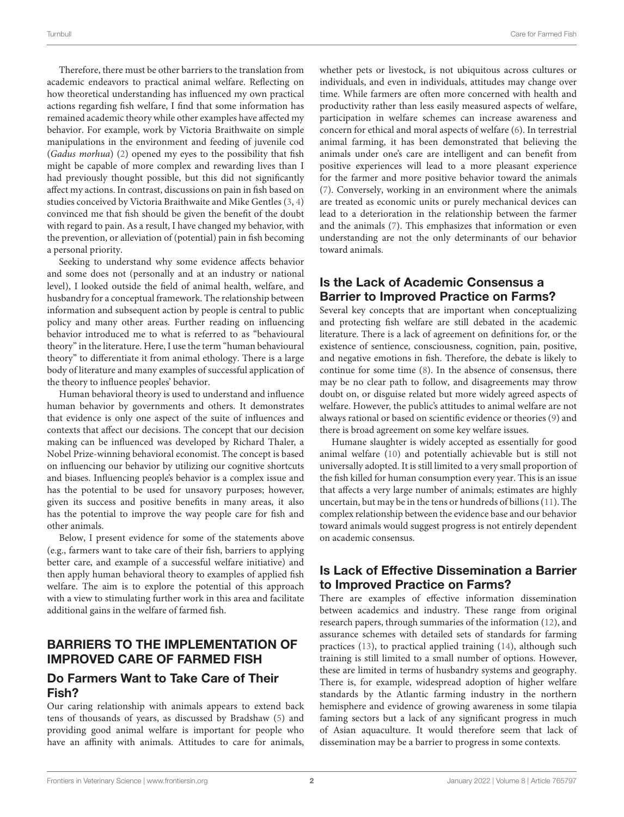Therefore, there must be other barriers to the translation from academic endeavors to practical animal welfare. Reflecting on how theoretical understanding has influenced my own practical actions regarding fish welfare, I find that some information has remained academic theory while other examples have affected my behavior. For example, work by Victoria Braithwaite on simple manipulations in the environment and feeding of juvenile cod (Gadus morhua) [\(2\)](#page-3-1) opened my eyes to the possibility that fish might be capable of more complex and rewarding lives than I had previously thought possible, but this did not significantly affect my actions. In contrast, discussions on pain in fish based on studies conceived by Victoria Braithwaite and Mike Gentles [\(3,](#page-3-2) [4\)](#page-3-3) convinced me that fish should be given the benefit of the doubt with regard to pain. As a result, I have changed my behavior, with the prevention, or alleviation of (potential) pain in fish becoming a personal priority.

Seeking to understand why some evidence affects behavior and some does not (personally and at an industry or national level), I looked outside the field of animal health, welfare, and husbandry for a conceptual framework. The relationship between information and subsequent action by people is central to public policy and many other areas. Further reading on influencing behavior introduced me to what is referred to as "behavioural theory" in the literature. Here, I use the term "human behavioural theory" to differentiate it from animal ethology. There is a large body of literature and many examples of successful application of the theory to influence peoples' behavior.

Human behavioral theory is used to understand and influence human behavior by governments and others. It demonstrates that evidence is only one aspect of the suite of influences and contexts that affect our decisions. The concept that our decision making can be influenced was developed by Richard Thaler, a Nobel Prize-winning behavioral economist. The concept is based on influencing our behavior by utilizing our cognitive shortcuts and biases. Influencing people's behavior is a complex issue and has the potential to be used for unsavory purposes; however, given its success and positive benefits in many areas, it also has the potential to improve the way people care for fish and other animals.

Below, I present evidence for some of the statements above (e.g., farmers want to take care of their fish, barriers to applying better care, and example of a successful welfare initiative) and then apply human behavioral theory to examples of applied fish welfare. The aim is to explore the potential of this approach with a view to stimulating further work in this area and facilitate additional gains in the welfare of farmed fish.

## BARRIERS TO THE IMPLEMENTATION OF IMPROVED CARE OF FARMED FISH

### Do Farmers Want to Take Care of Their Fish?

Our caring relationship with animals appears to extend back tens of thousands of years, as discussed by Bradshaw [\(5\)](#page-3-4) and providing good animal welfare is important for people who have an affinity with animals. Attitudes to care for animals, whether pets or livestock, is not ubiquitous across cultures or individuals, and even in individuals, attitudes may change over time. While farmers are often more concerned with health and productivity rather than less easily measured aspects of welfare, participation in welfare schemes can increase awareness and concern for ethical and moral aspects of welfare [\(6\)](#page-3-5). In terrestrial animal farming, it has been demonstrated that believing the animals under one's care are intelligent and can benefit from positive experiences will lead to a more pleasant experience for the farmer and more positive behavior toward the animals [\(7\)](#page-4-0). Conversely, working in an environment where the animals are treated as economic units or purely mechanical devices can lead to a deterioration in the relationship between the farmer and the animals [\(7\)](#page-4-0). This emphasizes that information or even understanding are not the only determinants of our behavior toward animals.

# Is the Lack of Academic Consensus a Barrier to Improved Practice on Farms?

Several key concepts that are important when conceptualizing and protecting fish welfare are still debated in the academic literature. There is a lack of agreement on definitions for, or the existence of sentience, consciousness, cognition, pain, positive, and negative emotions in fish. Therefore, the debate is likely to continue for some time [\(8\)](#page-4-1). In the absence of consensus, there may be no clear path to follow, and disagreements may throw doubt on, or disguise related but more widely agreed aspects of welfare. However, the public's attitudes to animal welfare are not always rational or based on scientific evidence or theories [\(9\)](#page-4-2) and there is broad agreement on some key welfare issues.

Humane slaughter is widely accepted as essentially for good animal welfare [\(10\)](#page-4-3) and potentially achievable but is still not universally adopted. It is still limited to a very small proportion of the fish killed for human consumption every year. This is an issue that affects a very large number of animals; estimates are highly uncertain, but may be in the tens or hundreds of billions [\(11\)](#page-4-4). The complex relationship between the evidence base and our behavior toward animals would suggest progress is not entirely dependent on academic consensus.

# Is Lack of Effective Dissemination a Barrier to Improved Practice on Farms?

There are examples of effective information dissemination between academics and industry. These range from original research papers, through summaries of the information [\(12\)](#page-4-5), and assurance schemes with detailed sets of standards for farming practices [\(13\)](#page-4-6), to practical applied training [\(14\)](#page-4-7), although such training is still limited to a small number of options. However, these are limited in terms of husbandry systems and geography. There is, for example, widespread adoption of higher welfare standards by the Atlantic farming industry in the northern hemisphere and evidence of growing awareness in some tilapia faming sectors but a lack of any significant progress in much of Asian aquaculture. It would therefore seem that lack of dissemination may be a barrier to progress in some contexts.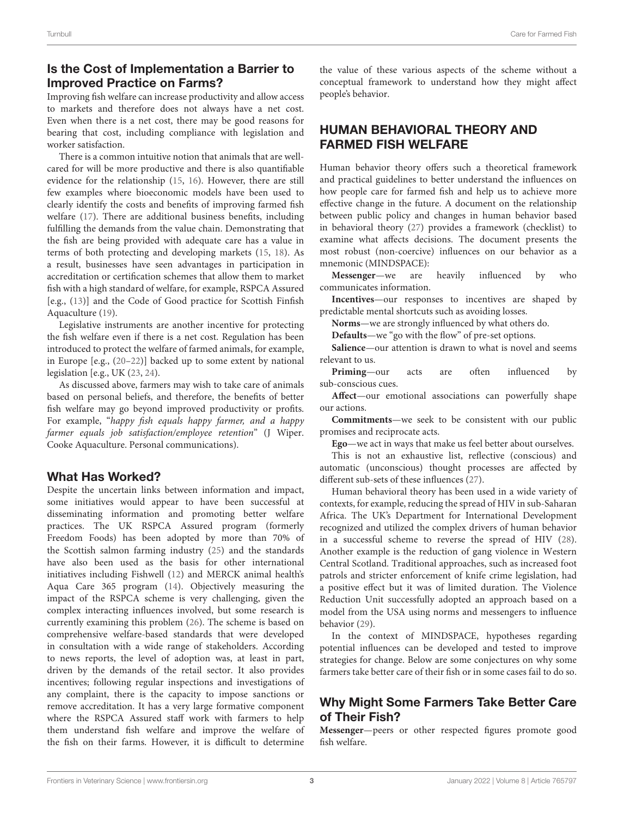# Is the Cost of Implementation a Barrier to Improved Practice on Farms?

Improving fish welfare can increase productivity and allow access to markets and therefore does not always have a net cost. Even when there is a net cost, there may be good reasons for bearing that cost, including compliance with legislation and worker satisfaction.

There is a common intuitive notion that animals that are wellcared for will be more productive and there is also quantifiable evidence for the relationship [\(15,](#page-4-8) [16\)](#page-4-9). However, there are still few examples where bioeconomic models have been used to clearly identify the costs and benefits of improving farmed fish welfare [\(17\)](#page-4-10). There are additional business benefits, including fulfilling the demands from the value chain. Demonstrating that the fish are being provided with adequate care has a value in terms of both protecting and developing markets [\(15,](#page-4-8) [18\)](#page-4-11). As a result, businesses have seen advantages in participation in accreditation or certification schemes that allow them to market fish with a high standard of welfare, for example, RSPCA Assured [e.g., [\(13\)](#page-4-6)] and the Code of Good practice for Scottish Finfish Aquaculture [\(19\)](#page-4-12).

Legislative instruments are another incentive for protecting the fish welfare even if there is a net cost. Regulation has been introduced to protect the welfare of farmed animals, for example, in Europe [e.g., [\(20–](#page-4-13)[22\)](#page-4-14)] backed up to some extent by national legislation [e.g., UK [\(23,](#page-4-15) [24\)](#page-4-16).

As discussed above, farmers may wish to take care of animals based on personal beliefs, and therefore, the benefits of better fish welfare may go beyond improved productivity or profits. For example, "happy fish equals happy farmer, and a happy farmer equals job satisfaction/employee retention" (J Wiper. Cooke Aquaculture. Personal communications).

### What Has Worked?

Despite the uncertain links between information and impact, some initiatives would appear to have been successful at disseminating information and promoting better welfare practices. The UK RSPCA Assured program (formerly Freedom Foods) has been adopted by more than 70% of the Scottish salmon farming industry [\(25\)](#page-4-17) and the standards have also been used as the basis for other international initiatives including Fishwell [\(12\)](#page-4-5) and MERCK animal health's Aqua Care 365 program [\(14\)](#page-4-7). Objectively measuring the impact of the RSPCA scheme is very challenging, given the complex interacting influences involved, but some research is currently examining this problem [\(26\)](#page-4-18). The scheme is based on comprehensive welfare-based standards that were developed in consultation with a wide range of stakeholders. According to news reports, the level of adoption was, at least in part, driven by the demands of the retail sector. It also provides incentives; following regular inspections and investigations of any complaint, there is the capacity to impose sanctions or remove accreditation. It has a very large formative component where the RSPCA Assured staff work with farmers to help them understand fish welfare and improve the welfare of the fish on their farms. However, it is difficult to determine the value of these various aspects of the scheme without a conceptual framework to understand how they might affect people's behavior.

# HUMAN BEHAVIORAL THEORY AND FARMED FISH WELFARE

Human behavior theory offers such a theoretical framework and practical guidelines to better understand the influences on how people care for farmed fish and help us to achieve more effective change in the future. A document on the relationship between public policy and changes in human behavior based in behavioral theory [\(27\)](#page-4-19) provides a framework (checklist) to examine what affects decisions. The document presents the most robust (non-coercive) influences on our behavior as a mnemonic (MINDSPACE):

**Messenger**—we are heavily influenced by who communicates information.

**Incentives**—our responses to incentives are shaped by predictable mental shortcuts such as avoiding losses.

**Norms**—we are strongly influenced by what others do.

**Defaults**—we "go with the flow" of pre-set options.

**Salience**—our attention is drawn to what is novel and seems relevant to us.

**Priming**—our acts are often influenced by sub-conscious cues.

**Affect**—our emotional associations can powerfully shape our actions.

**Commitments**—we seek to be consistent with our public promises and reciprocate acts.

**Ego**—we act in ways that make us feel better about ourselves.

This is not an exhaustive list, reflective (conscious) and automatic (unconscious) thought processes are affected by different sub-sets of these influences [\(27\)](#page-4-19).

Human behavioral theory has been used in a wide variety of contexts, for example, reducing the spread of HIV in sub-Saharan Africa. The UK's Department for International Development recognized and utilized the complex drivers of human behavior in a successful scheme to reverse the spread of HIV [\(28\)](#page-4-20). Another example is the reduction of gang violence in Western Central Scotland. Traditional approaches, such as increased foot patrols and stricter enforcement of knife crime legislation, had a positive effect but it was of limited duration. The Violence Reduction Unit successfully adopted an approach based on a model from the USA using norms and messengers to influence behavior [\(29\)](#page-4-21).

In the context of MINDSPACE, hypotheses regarding potential influences can be developed and tested to improve strategies for change. Below are some conjectures on why some farmers take better care of their fish or in some cases fail to do so.

# Why Might Some Farmers Take Better Care of Their Fish?

**Messenger**—peers or other respected figures promote good fish welfare.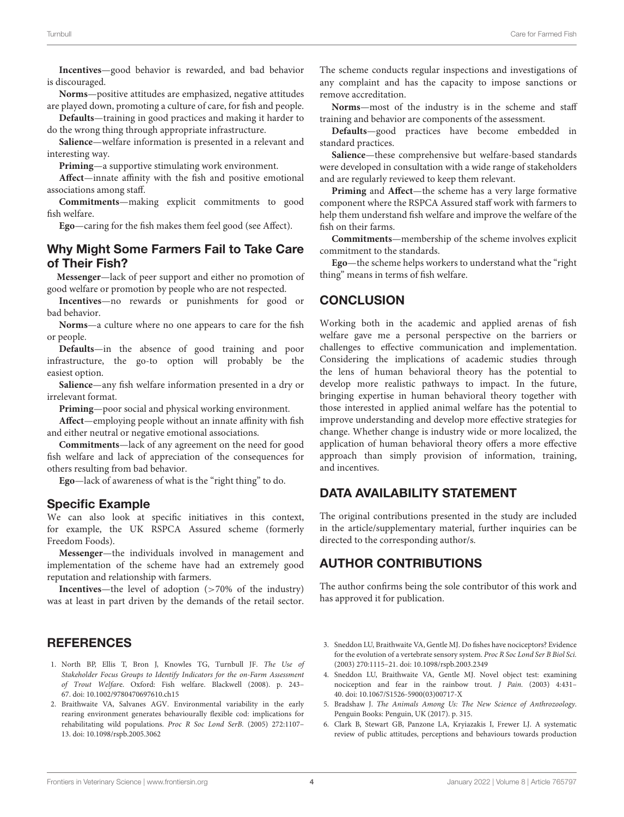**Incentives**—good behavior is rewarded, and bad behavior is discouraged.

**Norms**—positive attitudes are emphasized, negative attitudes are played down, promoting a culture of care, for fish and people.

**Defaults**—training in good practices and making it harder to do the wrong thing through appropriate infrastructure.

**Salience**—welfare information is presented in a relevant and interesting way.

**Priming**—a supportive stimulating work environment.

**Affect**—innate affinity with the fish and positive emotional associations among staff.

**Commitments**—making explicit commitments to good fish welfare.

**Ego**—caring for the fish makes them feel good (see Affect).

### Why Might Some Farmers Fail to Take Care of Their Fish?

**Messenger**—lack of peer support and either no promotion of good welfare or promotion by people who are not respected.

**Incentives**—no rewards or punishments for good or bad behavior.

**Norms**—a culture where no one appears to care for the fish or people.

**Defaults**—in the absence of good training and poor infrastructure, the go-to option will probably be the easiest option.

**Salience**—any fish welfare information presented in a dry or irrelevant format.

**Priming**—poor social and physical working environment.

**Affect**—employing people without an innate affinity with fish and either neutral or negative emotional associations.

**Commitments**—lack of any agreement on the need for good fish welfare and lack of appreciation of the consequences for others resulting from bad behavior.

**Ego**—lack of awareness of what is the "right thing" to do.

#### Specific Example

We can also look at specific initiatives in this context, for example, the UK RSPCA Assured scheme (formerly Freedom Foods).

**Messenger**—the individuals involved in management and implementation of the scheme have had an extremely good reputation and relationship with farmers.

**Incentives**—the level of adoption (>70% of the industry) was at least in part driven by the demands of the retail sector.

### **REFERENCES**

- <span id="page-3-0"></span>1. North BP, Ellis T, Bron J, Knowles TG, Turnbull JF. The Use of Stakeholder Focus Groups to Identify Indicators for the on-Farm Assessment of Trout Welfare. Oxford: Fish welfare. Blackwell (2008). p. 243– 67. doi: [10.1002/9780470697610.ch15](https://doi.org/10.1002/9780470697610.ch15)
- <span id="page-3-1"></span>2. Braithwaite VA, Salvanes AGV. Environmental variability in the early rearing environment generates behaviourally flexible cod: implications for rehabilitating wild populations. Proc R Soc Lond SerB. (2005) 272:1107– 13. doi: [10.1098/rspb.2005.3062](https://doi.org/10.1098/rspb.2005.3062)

The scheme conducts regular inspections and investigations of any complaint and has the capacity to impose sanctions or remove accreditation.

**Norms**—most of the industry is in the scheme and staff training and behavior are components of the assessment.

**Defaults**—good practices have become embedded in standard practices.

**Salience**—these comprehensive but welfare-based standards were developed in consultation with a wide range of stakeholders and are regularly reviewed to keep them relevant.

**Priming** and **Affect**—the scheme has a very large formative component where the RSPCA Assured staff work with farmers to help them understand fish welfare and improve the welfare of the fish on their farms.

**Commitments**—membership of the scheme involves explicit commitment to the standards.

**Ego**—the scheme helps workers to understand what the "right thing" means in terms of fish welfare.

### **CONCLUSION**

Working both in the academic and applied arenas of fish welfare gave me a personal perspective on the barriers or challenges to effective communication and implementation. Considering the implications of academic studies through the lens of human behavioral theory has the potential to develop more realistic pathways to impact. In the future, bringing expertise in human behavioral theory together with those interested in applied animal welfare has the potential to improve understanding and develop more effective strategies for change. Whether change is industry wide or more localized, the application of human behavioral theory offers a more effective approach than simply provision of information, training, and incentives.

# DATA AVAILABILITY STATEMENT

The original contributions presented in the study are included in the article/supplementary material, further inquiries can be directed to the corresponding author/s.

### AUTHOR CONTRIBUTIONS

The author confirms being the sole contributor of this work and has approved it for publication.

- <span id="page-3-2"></span>3. Sneddon LU, Braithwaite VA, Gentle MJ. Do fishes have nociceptors? Evidence for the evolution of a vertebrate sensory system. Proc R Soc Lond Ser B Biol Sci. (2003) 270:1115–21. doi: [10.1098/rspb.2003.2349](https://doi.org/10.1098/rspb.2003.2349)
- <span id="page-3-3"></span>4. Sneddon LU, Braithwaite VA, Gentle MJ. Novel object test: examining nociception and fear in the rainbow trout. J Pain. (2003) 4:431– 40. doi: [10.1067/S1526-5900\(03\)00717-X](https://doi.org/10.1067/S1526-5900(03)00717-X)
- <span id="page-3-4"></span>5. Bradshaw J. The Animals Among Us: The New Science of Anthrozoology. Penguin Books: Penguin, UK (2017). p. 315.
- <span id="page-3-5"></span>6. Clark B, Stewart GB, Panzone LA, Kryiazakis I, Frewer LJ. A systematic review of public attitudes, perceptions and behaviours towards production